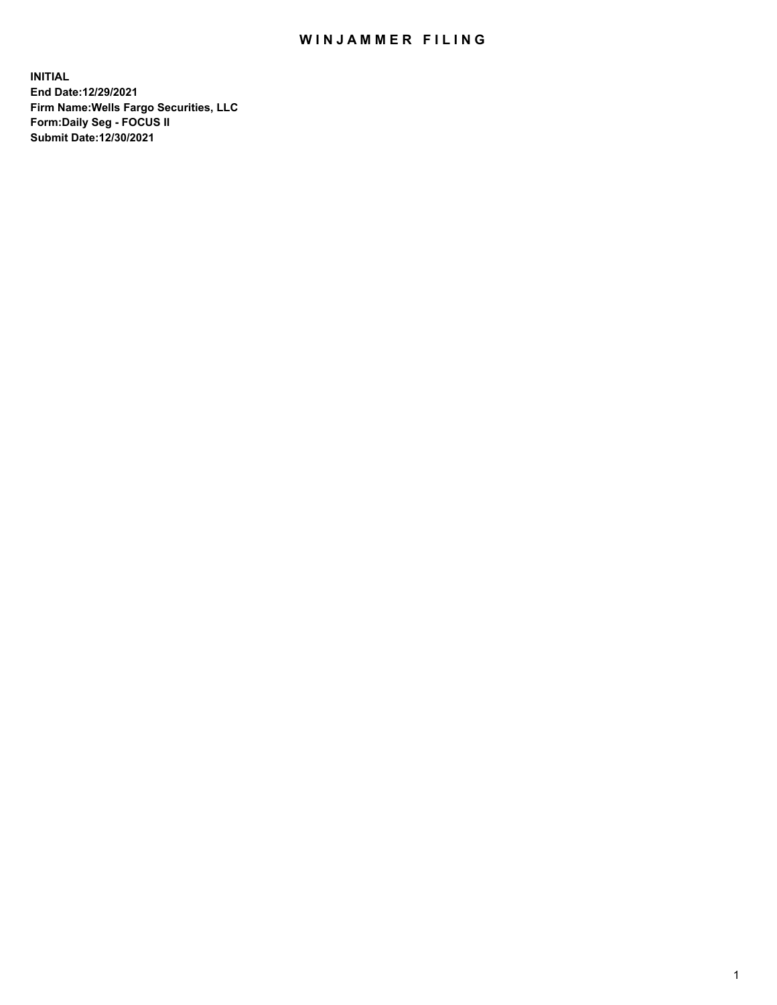## WIN JAMMER FILING

**INITIAL End Date:12/29/2021 Firm Name:Wells Fargo Securities, LLC Form:Daily Seg - FOCUS II Submit Date:12/30/2021**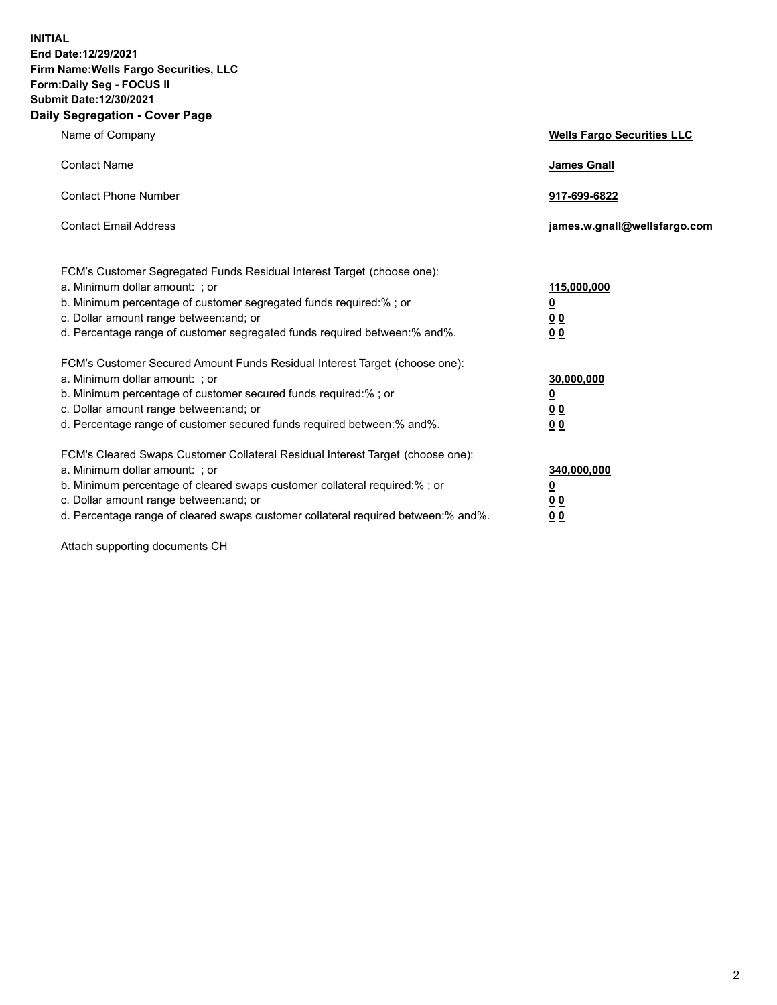**INITIAL End Date:12/29/2021 Firm Name:Wells Fargo Securities, LLC Form:Daily Seg - FOCUS II Submit Date:12/30/2021 Daily Segregation - Cover Page**

| Name of Company                                                                                                                                                                                                                                                                                                                | <b>Wells Fargo Securities LLC</b>                           |
|--------------------------------------------------------------------------------------------------------------------------------------------------------------------------------------------------------------------------------------------------------------------------------------------------------------------------------|-------------------------------------------------------------|
| <b>Contact Name</b>                                                                                                                                                                                                                                                                                                            | <b>James Gnall</b>                                          |
| <b>Contact Phone Number</b>                                                                                                                                                                                                                                                                                                    | 917-699-6822                                                |
| <b>Contact Email Address</b>                                                                                                                                                                                                                                                                                                   | james.w.gnall@wellsfargo.com                                |
| FCM's Customer Segregated Funds Residual Interest Target (choose one):<br>a. Minimum dollar amount: ; or<br>b. Minimum percentage of customer segregated funds required:% ; or<br>c. Dollar amount range between: and; or<br>d. Percentage range of customer segregated funds required between:% and%.                         | 115,000,000<br><u>0</u><br>0 <sub>0</sub><br>0 <sub>0</sub> |
| FCM's Customer Secured Amount Funds Residual Interest Target (choose one):<br>a. Minimum dollar amount: ; or<br>b. Minimum percentage of customer secured funds required:%; or<br>c. Dollar amount range between: and; or<br>d. Percentage range of customer secured funds required between:% and%.                            | 30,000,000<br><u>0</u><br>00<br>0 <sub>0</sub>              |
| FCM's Cleared Swaps Customer Collateral Residual Interest Target (choose one):<br>a. Minimum dollar amount: ; or<br>b. Minimum percentage of cleared swaps customer collateral required:% ; or<br>c. Dollar amount range between: and; or<br>d. Percentage range of cleared swaps customer collateral required between:% and%. | 340,000,000<br><u>0</u><br>0 <sub>0</sub><br>0 <sub>0</sub> |

Attach supporting documents CH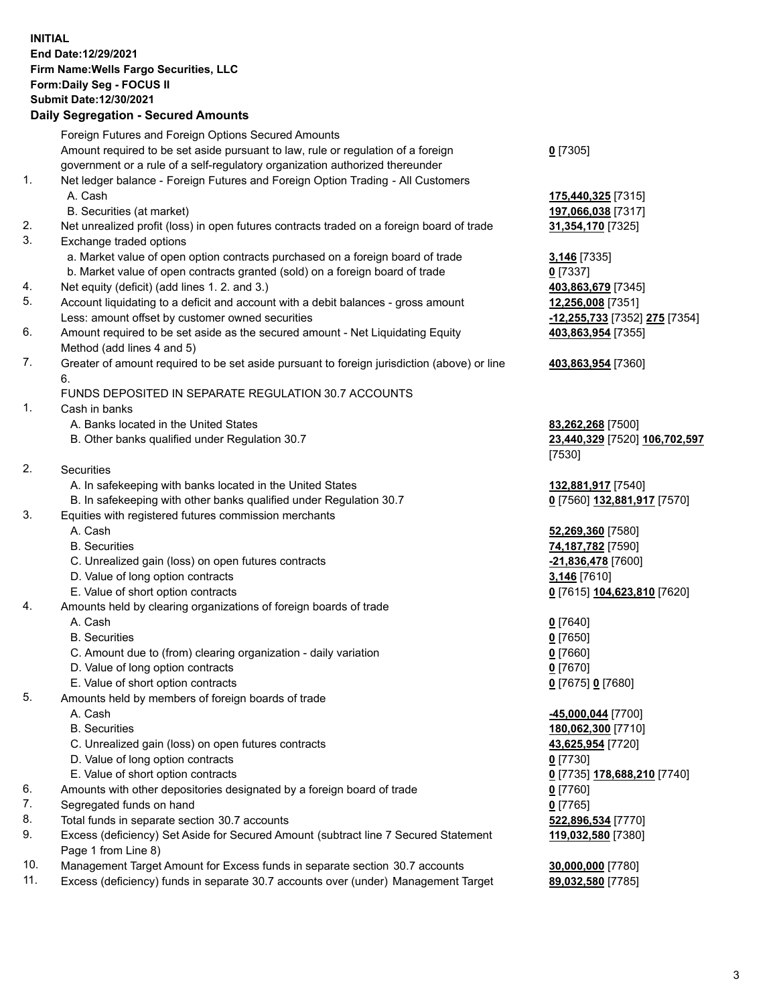**INITIAL End Date:12/29/2021 Firm Name:Wells Fargo Securities, LLC Form:Daily Seg - FOCUS II Submit Date:12/30/2021**

## **Daily Segregation - Secured Amounts**

|     | Foreign Futures and Foreign Options Secured Amounts                                         |                               |
|-----|---------------------------------------------------------------------------------------------|-------------------------------|
|     | Amount required to be set aside pursuant to law, rule or regulation of a foreign            | $0$ [7305]                    |
|     | government or a rule of a self-regulatory organization authorized thereunder                |                               |
| 1.  | Net ledger balance - Foreign Futures and Foreign Option Trading - All Customers             |                               |
|     | A. Cash                                                                                     | 175,440,325 [7315]            |
|     | B. Securities (at market)                                                                   | 197,066,038 [7317]            |
| 2.  | Net unrealized profit (loss) in open futures contracts traded on a foreign board of trade   | 31,354,170 [7325]             |
| 3.  | Exchange traded options                                                                     |                               |
|     | a. Market value of open option contracts purchased on a foreign board of trade              | 3,146 [7335]                  |
|     | b. Market value of open contracts granted (sold) on a foreign board of trade                | $0$ [7337]                    |
| 4.  | Net equity (deficit) (add lines 1. 2. and 3.)                                               | 403,863,679 [7345]            |
| 5.  | Account liquidating to a deficit and account with a debit balances - gross amount           | 12,256,008 [7351]             |
|     | Less: amount offset by customer owned securities                                            | -12,255,733 [7352] 275 [7354] |
| 6.  | Amount required to be set aside as the secured amount - Net Liquidating Equity              | 403,863,954 [7355]            |
|     | Method (add lines 4 and 5)                                                                  |                               |
| 7.  | Greater of amount required to be set aside pursuant to foreign jurisdiction (above) or line | 403,863,954 [7360]            |
|     | 6.                                                                                          |                               |
|     | FUNDS DEPOSITED IN SEPARATE REGULATION 30.7 ACCOUNTS                                        |                               |
| 1.  | Cash in banks                                                                               |                               |
|     | A. Banks located in the United States                                                       | 83,262,268 [7500]             |
|     | B. Other banks qualified under Regulation 30.7                                              | 23,440,329 [7520] 106,702,597 |
|     |                                                                                             | [7530]                        |
| 2.  | Securities                                                                                  |                               |
|     | A. In safekeeping with banks located in the United States                                   | 132,881,917 [7540]            |
|     | B. In safekeeping with other banks qualified under Regulation 30.7                          | 0 [7560] 132,881,917 [7570]   |
| 3.  | Equities with registered futures commission merchants                                       |                               |
|     | A. Cash                                                                                     | 52,269,360 [7580]             |
|     | <b>B.</b> Securities                                                                        | 74,187,782 [7590]             |
|     | C. Unrealized gain (loss) on open futures contracts                                         | -21,836,478 [7600]            |
|     | D. Value of long option contracts                                                           | 3,146 [7610]                  |
|     | E. Value of short option contracts                                                          | 0 [7615] 104,623,810 [7620]   |
| 4.  | Amounts held by clearing organizations of foreign boards of trade                           |                               |
|     | A. Cash                                                                                     | $0$ [7640]                    |
|     | <b>B.</b> Securities                                                                        | $0$ [7650]                    |
|     | C. Amount due to (from) clearing organization - daily variation                             | $0$ [7660]                    |
|     | D. Value of long option contracts                                                           | $0$ [7670]                    |
|     | E. Value of short option contracts                                                          | 0 [7675] 0 [7680]             |
| 5.  | Amounts held by members of foreign boards of trade                                          |                               |
|     | A. Cash                                                                                     | -45,000,044 [7700]            |
|     | <b>B.</b> Securities                                                                        | 180,062,300 [7710]            |
|     | C. Unrealized gain (loss) on open futures contracts                                         | 43,625,954 [7720]             |
|     | D. Value of long option contracts                                                           | $0$ [7730]                    |
|     | E. Value of short option contracts                                                          | 0 [7735] 178,688,210 [7740]   |
| 6.  | Amounts with other depositories designated by a foreign board of trade                      | $0$ [7760]                    |
| 7.  | Segregated funds on hand                                                                    | $0$ [7765]                    |
| 8.  | Total funds in separate section 30.7 accounts                                               | 522,896,534 [7770]            |
| 9.  | Excess (deficiency) Set Aside for Secured Amount (subtract line 7 Secured Statement         | 119,032,580 [7380]            |
|     | Page 1 from Line 8)                                                                         |                               |
| 10. | Management Target Amount for Excess funds in separate section 30.7 accounts                 | 30,000,000 [7780]             |
|     |                                                                                             |                               |

11. Excess (deficiency) funds in separate 30.7 accounts over (under) Management Target **89,032,580** [7785]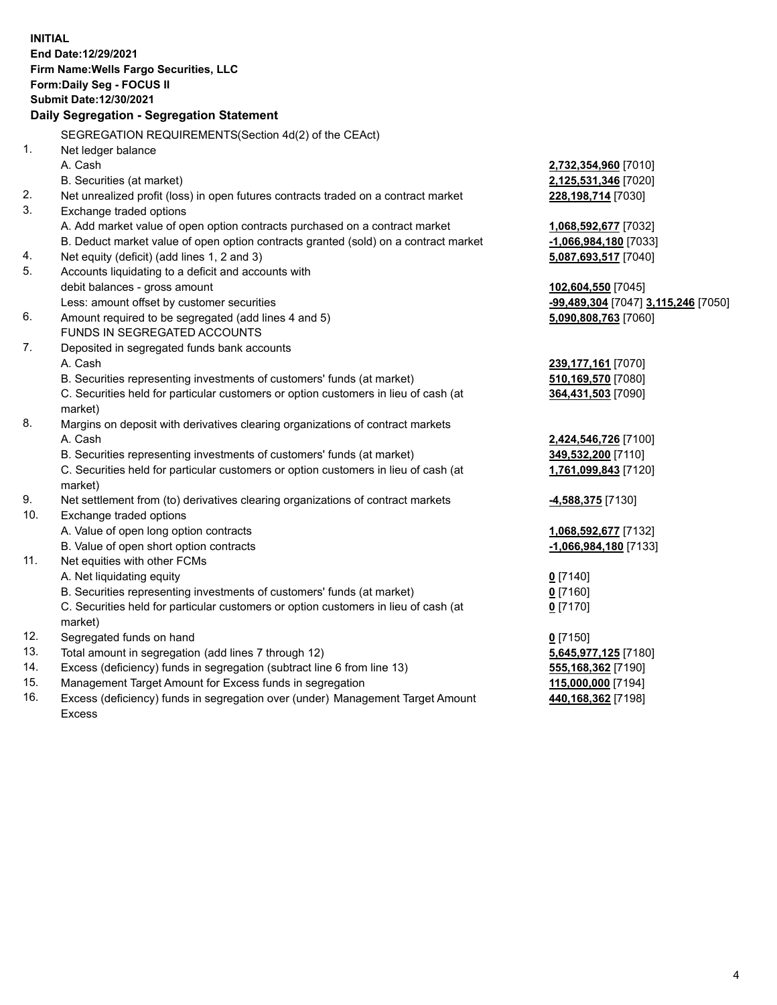**INITIAL End Date:12/29/2021 Firm Name:Wells Fargo Securities, LLC Form:Daily Seg - FOCUS II Submit Date:12/30/2021 Daily Segregation - Segregation Statement** SEGREGATION REQUIREMENTS(Section 4d(2) of the CEAct) 1. Net ledger balance A. Cash **2,732,354,960** [7010] B. Securities (at market) **2,125,531,346** [7020] 2. Net unrealized profit (loss) in open futures contracts traded on a contract market **228,198,714** [7030] 3. Exchange traded options A. Add market value of open option contracts purchased on a contract market **1,068,592,677** [7032] B. Deduct market value of open option contracts granted (sold) on a contract market **-1,066,984,180** [7033] 4. Net equity (deficit) (add lines 1, 2 and 3) **5,087,693,517** [7040] 5. Accounts liquidating to a deficit and accounts with debit balances - gross amount **102,604,550** [7045] Less: amount offset by customer securities **-99,489,304** [7047] **3,115,246** [7050] 6. Amount required to be segregated (add lines 4 and 5) **5,090,808,763** [7060] FUNDS IN SEGREGATED ACCOUNTS 7. Deposited in segregated funds bank accounts A. Cash **239,177,161** [7070] B. Securities representing investments of customers' funds (at market) **510,169,570** [7080] C. Securities held for particular customers or option customers in lieu of cash (at market) **364,431,503** [7090] 8. Margins on deposit with derivatives clearing organizations of contract markets A. Cash **2,424,546,726** [7100] B. Securities representing investments of customers' funds (at market) **349,532,200** [7110] C. Securities held for particular customers or option customers in lieu of cash (at market) **1,761,099,843** [7120] 9. Net settlement from (to) derivatives clearing organizations of contract markets **-4,588,375** [7130] 10. Exchange traded options A. Value of open long option contracts **1,068,592,677** [7132] B. Value of open short option contracts **-1,066,984,180** [7133] 11. Net equities with other FCMs A. Net liquidating equity **0** [7140] B. Securities representing investments of customers' funds (at market) **0** [7160] C. Securities held for particular customers or option customers in lieu of cash (at market) **0** [7170] 12. Segregated funds on hand **0** [7150] 13. Total amount in segregation (add lines 7 through 12) **5,645,977,125** [7180] 14. Excess (deficiency) funds in segregation (subtract line 6 from line 13) **555,168,362** [7190]

- 15. Management Target Amount for Excess funds in segregation **115,000,000** [7194]
- 16. Excess (deficiency) funds in segregation over (under) Management Target Amount Excess

**440,168,362** [7198]